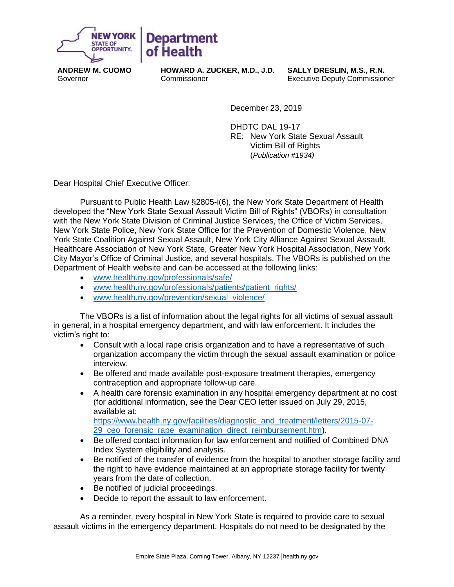

**ANDREW M. CUOMO** Governor

**HOWARD A. ZUCKER, M.D., J.D. Commissioner** 

**Department** 

of Health

**SALLY DRESLIN, M.S., R.N.** Executive Deputy Commissioner

December 23, 2019

DHDTC DAL 19-17 RE: New York State Sexual Assault Victim Bill of Rights (*Publication #1934)*

Dear Hospital Chief Executive Officer:

Pursuant to Public Health Law §2805-i(6), the New York State Department of Health developed the "New York State Sexual Assault Victim Bill of Rights" (VBORs) in consultation with the New York State Division of Criminal Justice Services, the Office of Victim Services, New York State Police, New York State Office for the Prevention of Domestic Violence, New York State Coalition Against Sexual Assault, New York City Alliance Against Sexual Assault, Healthcare Association of New York State, Greater New York Hospital Association, New York City Mayor's Office of Criminal Justice, and several hospitals. The VBORs is published on the Department of Health website and can be accessed at the following links:

- [www.health.ny.gov/professionals/safe/](https://www.health.ny.gov/professionals/safe/)
- [www.health.ny.gov/professionals/patients/patient\\_rights/](https://www.health.ny.gov/professionals/patients/patient_rights/)
- [www.health.ny.gov/prevention/sexual\\_violence/](https://www.health.ny.gov/prevention/sexual_violence/)

The VBORs is a list of information about the legal rights for all victims of sexual assault in general, in a hospital emergency department, and with law enforcement. It includes the victim's right to:

- Consult with a local rape crisis organization and to have a representative of such organization accompany the victim through the sexual assault examination or police interview.
- Be offered and made available post-exposure treatment therapies, emergency contraception and appropriate follow-up care.
- A health care forensic examination in any hospital emergency department at no cost (for additional information, see the Dear CEO letter issued on July 29, 2015, available at: [https://www.health.ny.gov/facilities/diagnostic\\_and\\_treatment/letters/2015-07-](https://www.health.ny.gov/facilities/diagnostic_and_treatment/letters/2015-07-29_ceo_forensic_rape_examination_direct_reimbursement.htm) 29 ceo forensic rape examination direct reimbursement.htm).
- Be offered contact information for law enforcement and notified of Combined DNA Index System eligibility and analysis.
- Be notified of the transfer of evidence from the hospital to another storage facility and the right to have evidence maintained at an appropriate storage facility for twenty years from the date of collection.
- Be notified of judicial proceedings.
- Decide to report the assault to law enforcement.

As a reminder, every hospital in New York State is required to provide care to sexual assault victims in the emergency department. Hospitals do not need to be designated by the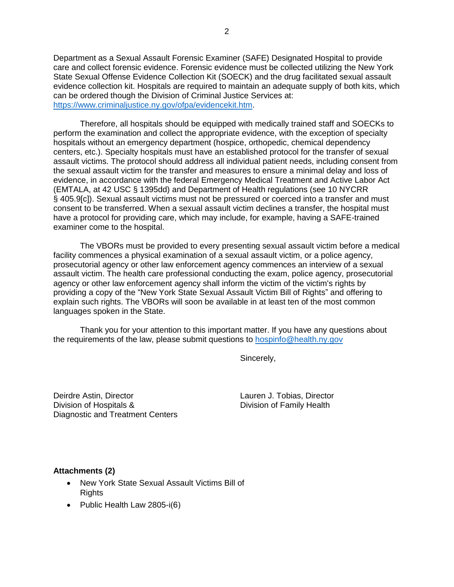Department as a Sexual Assault Forensic Examiner (SAFE) Designated Hospital to provide care and collect forensic evidence. Forensic evidence must be collected utilizing the New York State Sexual Offense Evidence Collection Kit (SOECK) and the drug facilitated sexual assault evidence collection kit. Hospitals are required to maintain an adequate supply of both kits, which can be ordered though the Division of Criminal Justice Services at: [https://www.criminaljustice.ny.gov/ofpa/evidencekit.htm.](https://www.criminaljustice.ny.gov/ofpa/evidencekit.htm)

Therefore, all hospitals should be equipped with medically trained staff and SOECKs to perform the examination and collect the appropriate evidence, with the exception of specialty hospitals without an emergency department (hospice, orthopedic, chemical dependency centers, etc.). Specialty hospitals must have an established protocol for the transfer of sexual assault victims. The protocol should address all individual patient needs, including consent from the sexual assault victim for the transfer and measures to ensure a minimal delay and loss of evidence, in accordance with the federal Emergency Medical Treatment and Active Labor Act (EMTALA, at 42 USC § 1395dd) and Department of Health regulations (see 10 NYCRR § 405.9[c]). Sexual assault victims must not be pressured or coerced into a transfer and must consent to be transferred. When a sexual assault victim declines a transfer, the hospital must have a protocol for providing care, which may include, for example, having a SAFE-trained examiner come to the hospital.

The VBORs must be provided to every presenting sexual assault victim before a medical facility commences a physical examination of a sexual assault victim, or a police agency, prosecutorial agency or other law enforcement agency commences an interview of a sexual assault victim. The health care professional conducting the exam, police agency, prosecutorial agency or other law enforcement agency shall inform the victim of the victim's rights by providing a copy of the "New York State Sexual Assault Victim Bill of Rights" and offering to explain such rights. The VBORs will soon be available in at least ten of the most common languages spoken in the State.

Thank you for your attention to this important matter. If you have any questions about the requirements of the law, please submit questions to [hospinfo@health.ny.gov](mailto:hospinfo@health.ny.gov)

Sincerely,

Deirdre Astin, Director Lauren J. Tobias, Director Division of Hospitals & Division of Family Health Diagnostic and Treatment Centers

#### **Attachments (2)**

- New York State Sexual Assault Victims Bill of **Rights**
- Public Health Law 2805-i(6)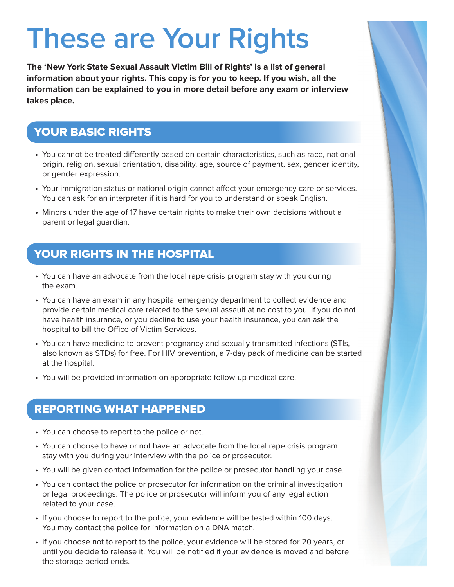## **These are Your Rights**

**The 'New York State Sexual Assault Victim Bill of Rights' is a list of general information about your rights. This copy is for you to keep. If you wish, all the information can be explained to you in more detail before any exam or interview takes place.**

### YOUR BASIC RIGHTS

- You cannot be treated differently based on certain characteristics, such as race, national origin, religion, sexual orientation, disability, age, source of payment, sex, gender identity, or gender expression.
- Your immigration status or national origin cannot affect your emergency care or services. You can ask for an interpreter if it is hard for you to understand or speak English.
- Minors under the age of 17 have certain rights to make their own decisions without a parent or legal guardian.

### YOUR RIGHTS IN THE HOSPITAL

- You can have an advocate from the local rape crisis program stay with you during the exam.
- You can have an exam in any hospital emergency department to collect evidence and provide certain medical care related to the sexual assault at no cost to you. If you do not have health insurance, or you decline to use your health insurance, you can ask the hospital to bill the Office of Victim Services.
- You can have medicine to prevent pregnancy and sexually transmitted infections (STIs, also known as STDs) for free. For HIV prevention, a 7-day pack of medicine can be started at the hospital.
- You will be provided information on appropriate follow-up medical care.

#### REPORTING WHAT HAPPENED

- You can choose to report to the police or not.
- You can choose to have or not have an advocate from the local rape crisis program stay with you during your interview with the police or prosecutor.
- You will be given contact information for the police or prosecutor handling your case.
- You can contact the police or prosecutor for information on the criminal investigation or legal proceedings. The police or prosecutor will inform you of any legal action related to your case.
- If you choose to report to the police, your evidence will be tested within 100 days. You may contact the police for information on a DNA match.
- If you choose not to report to the police, your evidence will be stored for 20 years, or until you decide to release it. You will be notified if your evidence is moved and before the storage period ends.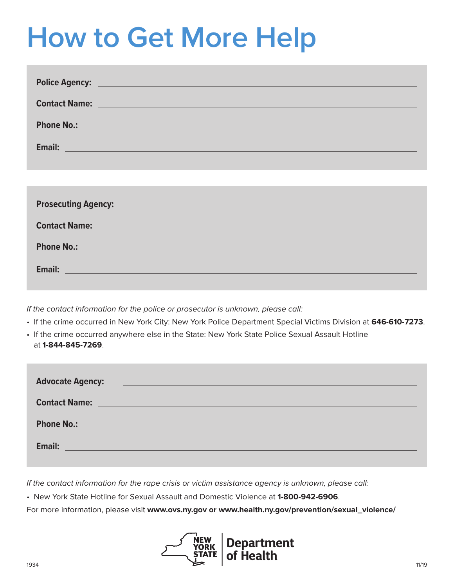## **How to Get More Help**

| Police Agency: <u>Contract Communication</u> Contract Contract Contract Contract Contract Contract Contract Contract Contract Contract Contract Contract Contract Contract Contract Contract Contract Contract Contract Contract Co  |
|--------------------------------------------------------------------------------------------------------------------------------------------------------------------------------------------------------------------------------------|
| <b>Contact Name: Contact Name: Contact Name: Contact Name: Contact Name: Contact Name: Contact Name: Contact Name: Contact Name: Contact Name: Contact Name: Contact Name: Contact Name: Contact Name:</b>                           |
| Phone No.: <u>Discussion of the contract of the contract of the contract of the contract of the contract of the contract of the contract of the contract of the contract of the contract of the contract of the contract of the </u> |
| Email: <u>Andreas Andreas Andreas Andreas Andreas Andreas Andreas Andreas Andreas Andreas Andreas Andreas Andreas</u>                                                                                                                |
|                                                                                                                                                                                                                                      |
|                                                                                                                                                                                                                                      |
| Prosecuting Agency: <u>Prosecuting Agency:</u> 2004. The Contract of the Contract of the Contract of the Contract of the Contract of the Contract of the Contract of the Contract of the Contract of the Contract of the Contract o  |
| Contact Name: <u>Department of the Contact Office</u> of the Contact Office of the Contact Office of the Contact Office                                                                                                              |
| Phone No.: <u>Discussion of the Community of the Community of the Community of the Community of the Community of the Community of the Community of the Community of the Community of the Community of the Community of the Commu</u> |
| Email: Email: Email: Email: Email: Email: Email: Email: Email: Email: Email: Email: Email: Email: Email: Email: Email: Email: Email: Email: Email: Email: Email: Email: Email: Email: Email: Email: Email: Email: Email: Email       |
|                                                                                                                                                                                                                                      |

If the contact information for the police or prosecutor is unknown, please call:

- If the crime occurred in New York City: New York Police Department Special Victims Division at **646-610-7273**.
- If the crime occurred anywhere else in the State: New York State Police Sexual Assault Hotline at **1-844-845-7269**.

| <b>Advocate Agency:</b><br><u> 1989 - Jan Stein Harry Stein Berger (d. 1989)</u>                                                                                                                                               |
|--------------------------------------------------------------------------------------------------------------------------------------------------------------------------------------------------------------------------------|
| <b>Contact Name:</b><br><u> 1989 - Johann Barn, mars eta inperiodor eta inperiodor eta inperiodor eta inperiodor eta inperiodor eta inper</u>                                                                                  |
| Phone No.: New York State Assessment Contract Contract Contract Contract Contract Contract Contract Contract Contract Contract Contract Contract Contract Contract Contract Contract Contract Contract Contract Contract Contr |
| Email:<br><u> 1989 - Johann Barn, mars ann an t-Amhain an t-Amhain an t-Amhain an t-Amhain an t-Amhain an t-Amhain an t-Amh</u>                                                                                                |

If the contact information for the rape crisis or victim assistance agency is unknown, please call:

• New York State Hotline for Sexual Assault and Domestic Violence at **1-800-942-6906**.

For more information, please visit **www.ovs.ny.gov or www.health.ny.gov/prevention/sexual\_violence/** 

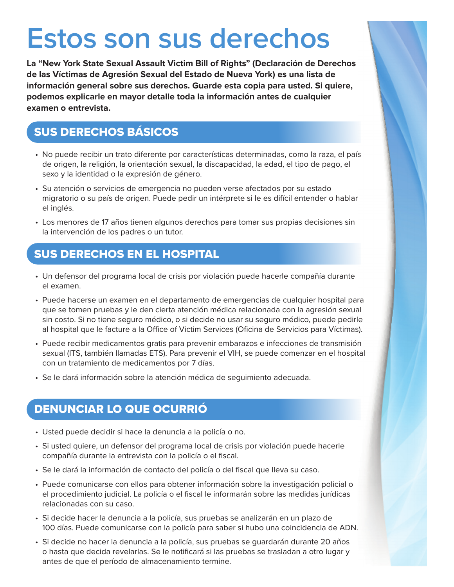### **Estos son sus derechos**

**La "New York State Sexual Assault Victim Bill of Rights" (Declaración de Derechos de las Víctimas de Agresión Sexual del Estado de Nueva York) es una lista de información general sobre sus derechos. Guarde esta copia para usted. Si quiere, podemos explicarle en mayor detalle toda la información antes de cualquier examen o entrevista.**

### SUS DERECHOS BÁSICOS

- No puede recibir un trato diferente por características determinadas, como la raza, el país de origen, la religión, la orientación sexual, la discapacidad, la edad, el tipo de pago, el sexo y la identidad o la expresión de género.
- Su atención o servicios de emergencia no pueden verse afectados por su estado migratorio o su país de origen. Puede pedir un intérprete si le es difícil entender o hablar el inglés.
- Los menores de 17 años tienen algunos derechos para tomar sus propias decisiones sin la intervención de los padres o un tutor.

### SUS DERECHOS EN EL HOSPITAL

- Un defensor del programa local de crisis por violación puede hacerle compañía durante el examen.
- Puede hacerse un examen en el departamento de emergencias de cualquier hospital para que se tomen pruebas y le den cierta atención médica relacionada con la agresión sexual sin costo. Si no tiene seguro médico, o si decide no usar su seguro médico, puede pedirle al hospital que le facture a la Office of Victim Services (Oficina de Servicios para Víctimas).
- Puede recibir medicamentos gratis para prevenir embarazos e infecciones de transmisión sexual (ITS, también llamadas ETS). Para prevenir el VIH, se puede comenzar en el hospital con un tratamiento de medicamentos por 7 días.
- Se le dará información sobre la atención médica de seguimiento adecuada.

### DENUNCIAR LO QUE OCURRIÓ

- Usted puede decidir si hace la denuncia a la policía o no.
- Si usted quiere, un defensor del programa local de crisis por violación puede hacerle compañía durante la entrevista con la policía o el fiscal.
- Se le dará la información de contacto del policía o del fiscal que lleva su caso.
- Puede comunicarse con ellos para obtener información sobre la investigación policial o el procedimiento judicial. La policía o el fiscal le informarán sobre las medidas jurídicas relacionadas con su caso.
- Si decide hacer la denuncia a la policía, sus pruebas se analizarán en un plazo de 100 días. Puede comunicarse con la policía para saber si hubo una coincidencia de ADN.
- Si decide no hacer la denuncia a la policía, sus pruebas se guardarán durante 20 años o hasta que decida revelarlas. Se le notificará si las pruebas se trasladan a otro lugar y antes de que el período de almacenamiento termine.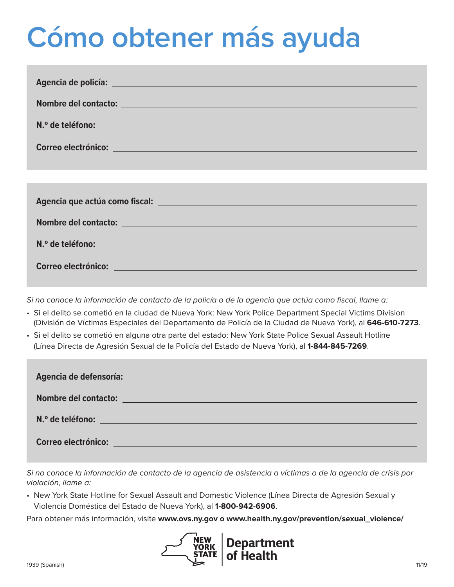# **Cómo obtener más ayuda**

| Agencia de policía: La Componente de la Componente de la Componente de la Componente de la Componente de la Co                                                                                                                 |
|--------------------------------------------------------------------------------------------------------------------------------------------------------------------------------------------------------------------------------|
| Nombre del contacto: et al. et al. et al. et al. et al. et al. et al. et al. et al. et al. et al. et al. et al                                                                                                                 |
| N.º de teléfono: N.º de teléfono: N.º de teléfono: N.º de teléfono: N.º de teléfono: N.º de teléfono: N.º de teléfono: N.º de teléfono: N.º de teléfono: N.º de teléfono: N.º de teléfono: N.º de teléfono: N.º de teléfono: N |
| Correo electrónico: electrónico electrónico establecer el control de la control de la control de la control de                                                                                                                 |
|                                                                                                                                                                                                                                |
|                                                                                                                                                                                                                                |
| Agencia que actúa como fiscal: <u>en el producto de la producto de la producto de la producto de la producto de l</u>                                                                                                          |
| Nombre del contacto: contra la contra del contra la contra del contra la contra del contra la contra del contra                                                                                                                |
| N.º de teléfono:                                                                                                                                                                                                               |
| Correo electrónico: electrónico de la construction de la construction de la construction de la construction de                                                                                                                 |

*Si no conoce la información de contacto de la policía o de la agencia que actúa como fiscal, llame a:* 

- Si el delito se cometió en la ciudad de Nueva York: New York Police Department Special Victims Division (División de Víctimas Especiales del Departamento de Policía de la Ciudad de Nueva York), al **646-610-7273**.
- Si el delito se cometió en alguna otra parte del estado: New York State Police Sexual Assault Hotline (Línea Directa de Agresión Sexual de la Policía del Estado de Nueva York), al **1-844-845-7269**.

| Agencia de defensoría: <u>en el proponente de la contrada de la contrada de la contrada de la contrada de la contra</u> |
|-------------------------------------------------------------------------------------------------------------------------|
| Nombre del contacto: and a series of the series of the series of the series of the series of the series of the          |
|                                                                                                                         |
| Correo electrónico: electrónico de la contrada de la contrada de la contrada de la contrada de la contrada de           |

*Si no conoce la información de contacto de la agencia de asistencia a víctimas o de la agencia de crisis por violación, llame a:* 

• New York State Hotline for Sexual Assault and Domestic Violence (Línea Directa de Agresión Sexual y Violencia Doméstica del Estado de Nueva York), al **1-800-942-6906**.

Para obtener más información, visite **www.ovs.ny.gov o www.health.ny.gov/prevention/sexual\_violence/** 

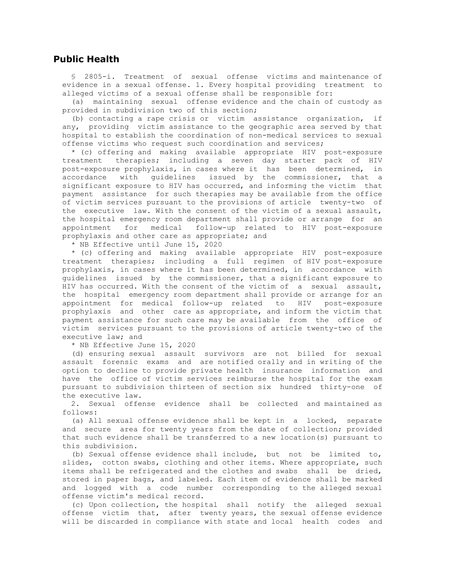#### **Public Health**

 § 2805-i. Treatment of sexual offense victims and maintenance of evidence in a sexual offense. 1. Every hospital providing treatment to alleged victims of a sexual offense shall be responsible for:

 (a) maintaining sexual offense evidence and the chain of custody as provided in subdivision two of this section;

 (b) contacting a rape crisis or victim assistance organization, if any, providing victim assistance to the geographic area served by that hospital to establish the coordination of non-medical services to sexual offense victims who request such coordination and services;

 \* (c) offering and making available appropriate HIV post-exposure treatment therapies; including a seven day starter pack of HIV post-exposure prophylaxis, in cases where it has been determined, in accordance with guidelines issued by the commissioner, that a significant exposure to HIV has occurred, and informing the victim that payment assistance for such therapies may be available from the office of victim services pursuant to the provisions of article twenty-two of the executive law. With the consent of the victim of a sexual assault, the hospital emergency room department shall provide or arrange for an appointment for medical follow-up related to HIV post-exposure prophylaxis and other care as appropriate; and

\* NB Effective until June 15, 2020

 \* (c) offering and making available appropriate HIV post-exposure treatment therapies; including a full regimen of HIV post-exposure prophylaxis, in cases where it has been determined, in accordance with guidelines issued by the commissioner, that a significant exposure to HIV has occurred. With the consent of the victim of a sexual assault, the hospital emergency room department shall provide or arrange for an appointment for medical follow-up related to HIV post-exposure prophylaxis and other care as appropriate, and inform the victim that payment assistance for such care may be available from the office of victim services pursuant to the provisions of article twenty-two of the executive law; and

\* NB Effective June 15, 2020

 (d) ensuring sexual assault survivors are not billed for sexual assault forensic exams and are notified orally and in writing of the option to decline to provide private health insurance information and have the office of victim services reimburse the hospital for the exam pursuant to subdivision thirteen of section six hundred thirty-one of the executive law.

 2. Sexual offense evidence shall be collected and maintained as follows:

 (a) All sexual offense evidence shall be kept in a locked, separate and secure area for twenty years from the date of collection; provided that such evidence shall be transferred to a new location(s) pursuant to this subdivision.

 (b) Sexual offense evidence shall include, but not be limited to, slides, cotton swabs, clothing and other items. Where appropriate, such items shall be refrigerated and the clothes and swabs shall be dried, stored in paper bags, and labeled. Each item of evidence shall be marked and logged with a code number corresponding to the alleged sexual offense victim's medical record.

 (c) Upon collection, the hospital shall notify the alleged sexual offense victim that, after twenty years, the sexual offense evidence will be discarded in compliance with state and local health codes and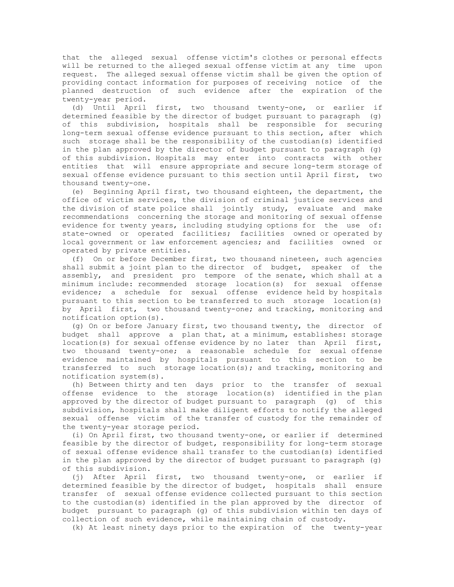that the alleged sexual offense victim's clothes or personal effects will be returned to the alleged sexual offense victim at any time upon request. The alleged sexual offense victim shall be given the option of providing contact information for purposes of receiving notice of the planned destruction of such evidence after the expiration of the twenty-year period.

 (d) Until April first, two thousand twenty-one, or earlier if determined feasible by the director of budget pursuant to paragraph (g) of this subdivision, hospitals shall be responsible for securing long-term sexual offense evidence pursuant to this section, after which such storage shall be the responsibility of the custodian(s) identified in the plan approved by the director of budget pursuant to paragraph (g) of this subdivision. Hospitals may enter into contracts with other entities that will ensure appropriate and secure long-term storage of sexual offense evidence pursuant to this section until April first, two thousand twenty-one.

 (e) Beginning April first, two thousand eighteen, the department, the office of victim services, the division of criminal justice services and the division of state police shall jointly study, evaluate and make recommendations concerning the storage and monitoring of sexual offense evidence for twenty years, including studying options for the use of: state-owned or operated facilities; facilities owned or operated by local government or law enforcement agencies; and facilities owned or operated by private entities.

 (f) On or before December first, two thousand nineteen, such agencies shall submit a joint plan to the director of budget, speaker of the assembly, and president pro tempore of the senate, which shall at a minimum include: recommended storage location(s) for sexual offense evidence; a schedule for sexual offense evidence held by hospitals pursuant to this section to be transferred to such storage location(s) by April first, two thousand twenty-one; and tracking, monitoring and notification option(s).

 (g) On or before January first, two thousand twenty, the director of budget shall approve a plan that, at a minimum, establishes: storage location(s) for sexual offense evidence by no later than April first, two thousand twenty-one; a reasonable schedule for sexual offense evidence maintained by hospitals pursuant to this section to be transferred to such storage location(s); and tracking, monitoring and notification system(s).

 (h) Between thirty and ten days prior to the transfer of sexual offense evidence to the storage location(s) identified in the plan approved by the director of budget pursuant to paragraph (g) of this subdivision, hospitals shall make diligent efforts to notify the alleged sexual offense victim of the transfer of custody for the remainder of the twenty-year storage period.

 (i) On April first, two thousand twenty-one, or earlier if determined feasible by the director of budget, responsibility for long-term storage of sexual offense evidence shall transfer to the custodian(s) identified in the plan approved by the director of budget pursuant to paragraph (g) of this subdivision.

 (j) After April first, two thousand twenty-one, or earlier if determined feasible by the director of budget, hospitals shall ensure transfer of sexual offense evidence collected pursuant to this section to the custodian(s) identified in the plan approved by the director of budget pursuant to paragraph (g) of this subdivision within ten days of collection of such evidence, while maintaining chain of custody.

(k) At least ninety days prior to the expiration of the twenty-year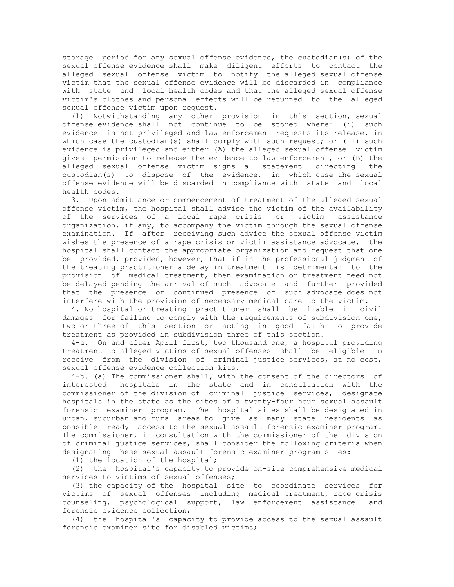storage period for any sexual offense evidence, the custodian(s) of the sexual offense evidence shall make diligent efforts to contact the alleged sexual offense victim to notify the alleged sexual offense victim that the sexual offense evidence will be discarded in compliance with state and local health codes and that the alleged sexual offense victim's clothes and personal effects will be returned to the alleged sexual offense victim upon request.

 (l) Notwithstanding any other provision in this section, sexual offense evidence shall not continue to be stored where: (i) such evidence is not privileged and law enforcement requests its release, in which case the custodian(s) shall comply with such request; or (ii) such evidence is privileged and either (A) the alleged sexual offense victim gives permission to release the evidence to law enforcement, or (B) the<br>alleged sexual offense victim signs a statement directing the alleged sexual offense victim signs a statement directing custodian(s) to dispose of the evidence, in which case the sexual offense evidence will be discarded in compliance with state and local health codes.

 3. Upon admittance or commencement of treatment of the alleged sexual offense victim, the hospital shall advise the victim of the availability of the services of a local rape crisis or victim assistance organization, if any, to accompany the victim through the sexual offense examination. If after receiving such advice the sexual offense victim wishes the presence of a rape crisis or victim assistance advocate, the hospital shall contact the appropriate organization and request that one be provided, provided, however, that if in the professional judgment of the treating practitioner a delay in treatment is detrimental to the provision of medical treatment, then examination or treatment need not be delayed pending the arrival of such advocate and further provided that the presence or continued presence of such advocate does not interfere with the provision of necessary medical care to the victim.

 4. No hospital or treating practitioner shall be liable in civil damages for failing to comply with the requirements of subdivision one, two or three of this section or acting in good faith to provide treatment as provided in subdivision three of this section.

 4-a. On and after April first, two thousand one, a hospital providing treatment to alleged victims of sexual offenses shall be eligible to receive from the division of criminal justice services, at no cost, sexual offense evidence collection kits.

 4-b. (a) The commissioner shall, with the consent of the directors of interested hospitals in the state and in consultation with the commissioner of the division of criminal justice services, designate hospitals in the state as the sites of a twenty-four hour sexual assault forensic examiner program. The hospital sites shall be designated in urban, suburban and rural areas to give as many state residents as possible ready access to the sexual assault forensic examiner program. The commissioner, in consultation with the commissioner of the division of criminal justice services, shall consider the following criteria when designating these sexual assault forensic examiner program sites:

(1) the location of the hospital;

 (2) the hospital's capacity to provide on-site comprehensive medical services to victims of sexual offenses;

 (3) the capacity of the hospital site to coordinate services for victims of sexual offenses including medical treatment, rape crisis counseling, psychological support, law enforcement assistance and forensic evidence collection;

 (4) the hospital's capacity to provide access to the sexual assault forensic examiner site for disabled victims;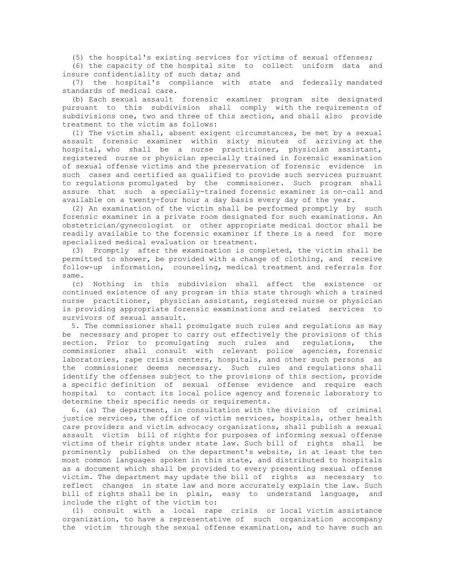(5) the hospital's existing services for victims of sexual offenses;

 (6) the capacity of the hospital site to collect uniform data and insure confidentiality of such data; and

 (7) the hospital's compliance with state and federally mandated standards of medical care.

 (b) Each sexual assault forensic examiner program site designated pursuant to this subdivision shall comply with the requirements of subdivisions one, two and three of this section, and shall also provide treatment to the victim as follows:

 (1) The victim shall, absent exigent circumstances, be met by a sexual assault forensic examiner within sixty minutes of arriving at the hospital, who shall be a nurse practitioner, physician assistant, registered nurse or physician specially trained in forensic examination of sexual offense victims and the preservation of forensic evidence in such cases and certified as qualified to provide such services pursuant to regulations promulgated by the commissioner. Such program shall assure that such a specially-trained forensic examiner is on-call and available on a twenty-four hour a day basis every day of the year.

 (2) An examination of the victim shall be performed promptly by such forensic examiner in a private room designated for such examinations. An obstetrician/gynecologist or other appropriate medical doctor shall be readily available to the forensic examiner if there is a need for more specialized medical evaluation or treatment.

 (3) Promptly after the examination is completed, the victim shall be permitted to shower, be provided with a change of clothing, and receive follow-up information, counseling, medical treatment and referrals for same.

 (c) Nothing in this subdivision shall affect the existence or continued existence of any program in this state through which a trained nurse practitioner, physician assistant, registered nurse or physician is providing appropriate forensic examinations and related services to survivors of sexual assault.

 5. The commissioner shall promulgate such rules and regulations as may be necessary and proper to carry out effectively the provisions of this section. Prior to promulgating such rules and regulations, the commissioner shall consult with relevant police agencies, forensic laboratories, rape crisis centers, hospitals, and other such persons as the commissioner deems necessary. Such rules and regulations shall identify the offenses subject to the provisions of this section, provide a specific definition of sexual offense evidence and require each hospital to contact its local police agency and forensic laboratory to determine their specific needs or requirements.

 6. (a) The department, in consultation with the division of criminal justice services, the office of victim services, hospitals, other health care providers and victim advocacy organizations, shall publish a sexual assault victim bill of rights for purposes of informing sexual offense victims of their rights under state law. Such bill of rights shall be prominently published on the department's website, in at least the ten most common languages spoken in this state, and distributed to hospitals as a document which shall be provided to every presenting sexual offense victim. The department may update the bill of rights as necessary to reflect changes in state law and more accurately explain the law. Such bill of rights shall be in plain, easy to understand language, and include the right of the victim to:

 (1) consult with a local rape crisis or local victim assistance organization, to have a representative of such organization accompany the victim through the sexual offense examination, and to have such an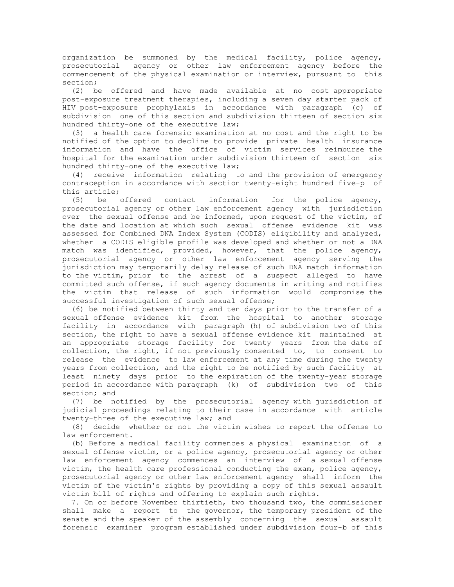organization be summoned by the medical facility, police agency, prosecutorial agency or other law enforcement agency before the commencement of the physical examination or interview, pursuant to this section;

 (2) be offered and have made available at no cost appropriate post-exposure treatment therapies, including a seven day starter pack of HIV post-exposure prophylaxis in accordance with paragraph (c) of subdivision one of this section and subdivision thirteen of section six hundred thirty-one of the executive law;

 (3) a health care forensic examination at no cost and the right to be notified of the option to decline to provide private health insurance information and have the office of victim services reimburse the hospital for the examination under subdivision thirteen of section six hundred thirty-one of the executive law;

 (4) receive information relating to and the provision of emergency contraception in accordance with section twenty-eight hundred five-p of this article;<br>(5) be offered contact

 (5) be offered contact information for the police agency, prosecutorial agency or other law enforcement agency with jurisdiction over the sexual offense and be informed, upon request of the victim, of the date and location at which such sexual offense evidence kit was assessed for Combined DNA Index System (CODIS) eligibility and analyzed, whether a CODIS eligible profile was developed and whether or not a DNA match was identified, provided, however, that the police agency, prosecutorial agency or other law enforcement agency serving the jurisdiction may temporarily delay release of such DNA match information to the victim, prior to the arrest of a suspect alleged to have committed such offense, if such agency documents in writing and notifies the victim that release of such information would compromise the successful investigation of such sexual offense;

 (6) be notified between thirty and ten days prior to the transfer of a sexual offense evidence kit from the hospital to another storage facility in accordance with paragraph (h) of subdivision two of this section, the right to have a sexual offense evidence kit maintained at an appropriate storage facility for twenty years from the date of collection, the right, if not previously consented to, to consent to release the evidence to law enforcement at any time during the twenty years from collection, and the right to be notified by such facility at least ninety days prior to the expiration of the twenty-year storage period in accordance with paragraph (k) of subdivision two of this section; and

 (7) be notified by the prosecutorial agency with jurisdiction of judicial proceedings relating to their case in accordance with article twenty-three of the executive law; and

 (8) decide whether or not the victim wishes to report the offense to law enforcement.

 (b) Before a medical facility commences a physical examination of a sexual offense victim, or a police agency, prosecutorial agency or other law enforcement agency commences an interview of a sexual offense victim, the health care professional conducting the exam, police agency, prosecutorial agency or other law enforcement agency shall inform the victim of the victim's rights by providing a copy of this sexual assault victim bill of rights and offering to explain such rights.

 7. On or before November thirtieth, two thousand two, the commissioner shall make a report to the governor, the temporary president of the senate and the speaker of the assembly concerning the sexual assault forensic examiner program established under subdivision four-b of this